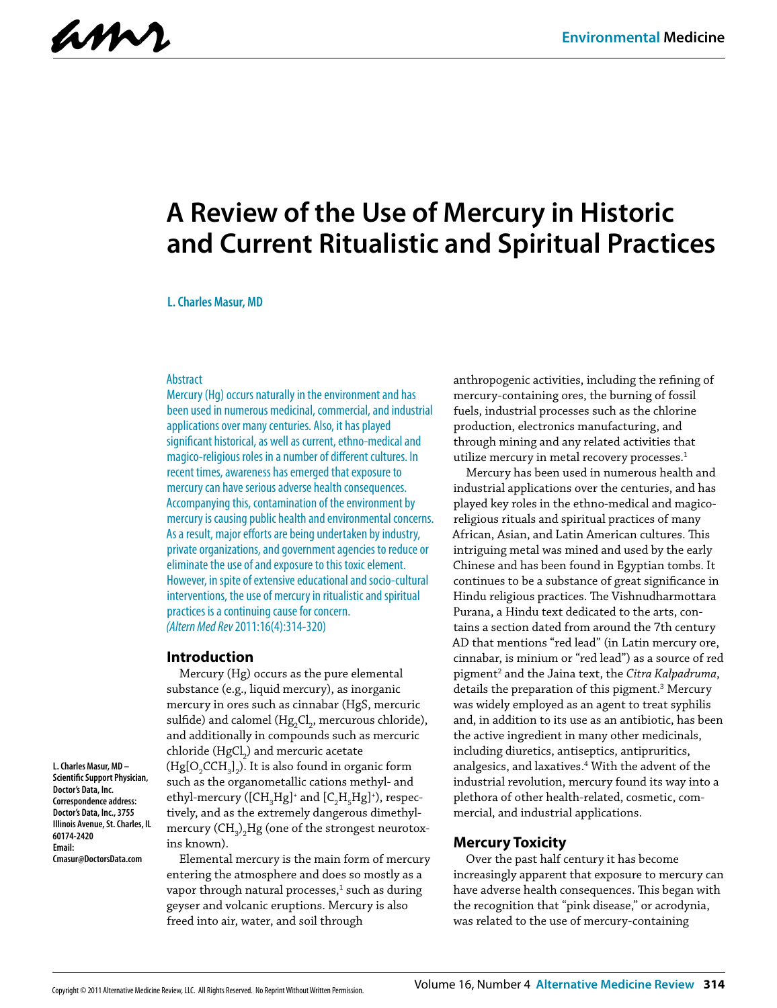amr

# **A Review of the Use of Mercury in Historic and Current Ritualistic and Spiritual Practices**

#### **L. Charles Masur, MD**

#### Abstract

Mercury (Hg) occurs naturally in the environment and has been used in numerous medicinal, commercial, and industrial applications over many centuries. Also, it has played significant historical, as well as current, ethno-medical and magico-religious roles in a number of different cultures. In recent times, awareness has emerged that exposure to mercury can have serious adverse health consequences. Accompanying this, contamination of the environment by mercury is causing public health and environmental concerns. As a result, major efforts are being undertaken by industry, private organizations, and government agencies to reduce or eliminate the use of and exposure to this toxic element. However, in spite of extensive educational and socio-cultural interventions, the use of mercury in ritualistic and spiritual practices is a continuing cause for concern. *(Altern Med Rev* 2011:16(4):314-320)

#### **Introduction**

Mercury (Hg) occurs as the pure elemental substance (e.g., liquid mercury), as inorganic mercury in ores such as cinnabar (HgS, mercuric sulfide) and calomel (Hg $_{2}$ Cl $_{2}$ , mercurous chloride), and additionally in compounds such as mercuric chloride (HgCl<sub>2</sub>) and mercuric acetate (Hg[O<sub>2</sub>CCH<sub>3</sub>]<sub>2</sub>). It is also found in organic form such as the organometallic cations methyl- and ethyl-mercury ([CH $_{\rm_3}$ Hg]+ and [C $_{\rm_2}$ H $_{\rm_5}$ Hg]+), respectively, and as the extremely dangerous dimethylmercury (CH $_{\rm 3)}$ ,Hg (one of the strongest neurotoxins known).

**L. Charles Masur, MD – Scientific Support Physician, Doctor's Data, Inc. Correspondence address: Doctor's Data, Inc., 3755 Illinois Avenue, St. Charles, IL 60174-2420 Email: Cmasur@DoctorsData.com**

Elemental mercury is the main form of mercury entering the atmosphere and does so mostly as a vapor through natural processes, $^1$  such as during geyser and volcanic eruptions. Mercury is also freed into air, water, and soil through

anthropogenic activities, including the refining of mercury-containing ores, the burning of fossil fuels, industrial processes such as the chlorine production, electronics manufacturing, and through mining and any related activities that utilize mercury in metal recovery processes.<sup>1</sup>

Mercury has been used in numerous health and industrial applications over the centuries, and has played key roles in the ethno-medical and magicoreligious rituals and spiritual practices of many African, Asian, and Latin American cultures. This intriguing metal was mined and used by the early Chinese and has been found in Egyptian tombs. It continues to be a substance of great significance in Hindu religious practices. The Vishnudharmottara Purana, a Hindu text dedicated to the arts, contains a section dated from around the 7th century AD that mentions "red lead" (in Latin mercury ore, cinnabar, is minium or "red lead") as a source of red pigment2 and the Jaina text, the *Citra Kalpadruma*, details the preparation of this pigment.<sup>3</sup> Mercury was widely employed as an agent to treat syphilis and, in addition to its use as an antibiotic, has been the active ingredient in many other medicinals, including diuretics, antiseptics, antipruritics, analgesics, and laxatives.4 With the advent of the industrial revolution, mercury found its way into a plethora of other health-related, cosmetic, commercial, and industrial applications.

#### **Mercury Toxicity**

Over the past half century it has become increasingly apparent that exposure to mercury can have adverse health consequences. This began with the recognition that "pink disease," or acrodynia, was related to the use of mercury-containing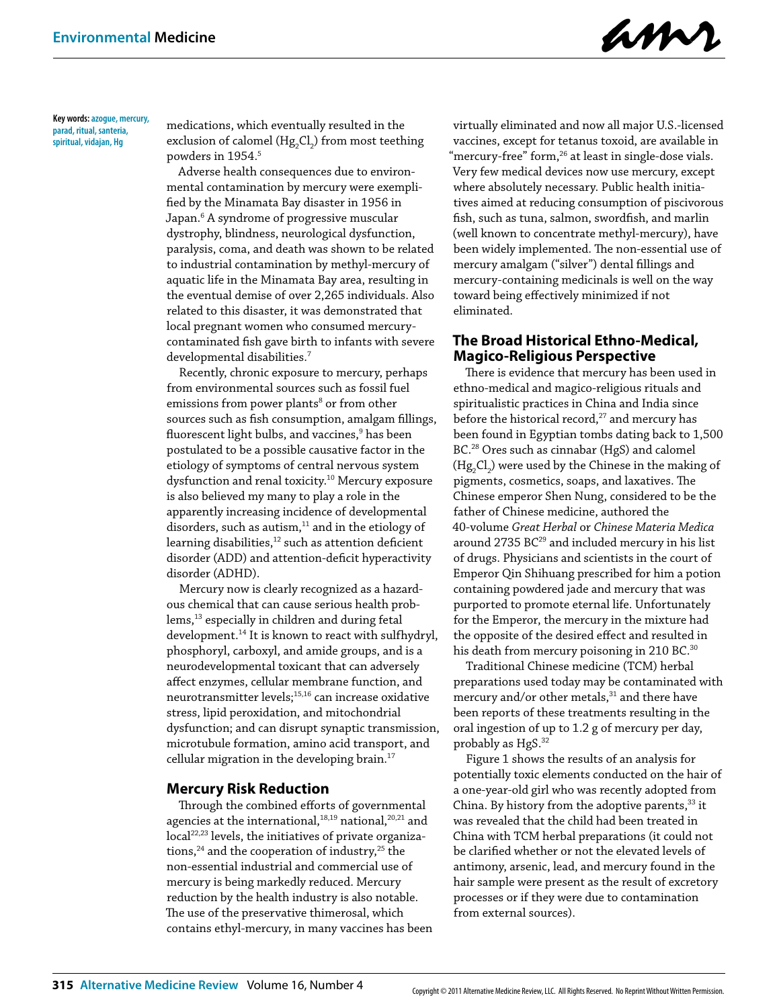amr

**Key words: azogue, mercury, parad, ritual, santeria, spiritual, vidajan, Hg**

medications, which eventually resulted in the exclusion of calomel (Hg $_{2}$ Cl $_{2}$ ) from most teething powders in 1954.<sup>5</sup>

Adverse health consequences due to environmental contamination by mercury were exemplified by the Minamata Bay disaster in 1956 in Japan.6 A syndrome of progressive muscular dystrophy, blindness, neurological dysfunction, paralysis, coma, and death was shown to be related to industrial contamination by methyl-mercury of aquatic life in the Minamata Bay area, resulting in the eventual demise of over 2,265 individuals. Also related to this disaster, it was demonstrated that local pregnant women who consumed mercurycontaminated fish gave birth to infants with severe developmental disabilities.7

Recently, chronic exposure to mercury, perhaps from environmental sources such as fossil fuel emissions from power plants<sup>8</sup> or from other sources such as fish consumption, amalgam fillings, fluorescent light bulbs, and vaccines, $^{\rm 9}$  has been postulated to be a possible causative factor in the etiology of symptoms of central nervous system dysfunction and renal toxicity.10 Mercury exposure is also believed my many to play a role in the apparently increasing incidence of developmental disorders, such as autism, $11$  and in the etiology of learning disabilities,<sup>12</sup> such as attention deficient disorder (ADD) and attention-deficit hyperactivity disorder (ADHD).

Mercury now is clearly recognized as a hazardous chemical that can cause serious health problems,<sup>13</sup> especially in children and during fetal development.14 It is known to react with sulfhydryl, phosphoryl, carboxyl, and amide groups, and is a neurodevelopmental toxicant that can adversely affect enzymes, cellular membrane function, and neurotransmitter levels;15,16 can increase oxidative stress, lipid peroxidation, and mitochondrial dysfunction; and can disrupt synaptic transmission, microtubule formation, amino acid transport, and cellular migration in the developing brain.17

## **Mercury Risk Reduction**

Through the combined efforts of governmental agencies at the international, $18,19$  national, $20,21$  and local<sup>22,23</sup> levels, the initiatives of private organizations,<sup>24</sup> and the cooperation of industry,<sup>25</sup> the non-essential industrial and commercial use of mercury is being markedly reduced. Mercury reduction by the health industry is also notable. The use of the preservative thimerosal, which contains ethyl-mercury, in many vaccines has been

virtually eliminated and now all major U.S.-licensed vaccines, except for tetanus toxoid, are available in "mercury-free" form,<sup>26</sup> at least in single-dose vials. Very few medical devices now use mercury, except where absolutely necessary. Public health initiatives aimed at reducing consumption of piscivorous fish, such as tuna, salmon, swordfish, and marlin (well known to concentrate methyl-mercury), have been widely implemented. The non-essential use of mercury amalgam ("silver") dental fillings and mercury-containing medicinals is well on the way toward being effectively minimized if not eliminated.

## **The Broad Historical Ethno-Medical, Magico-Religious Perspective**

There is evidence that mercury has been used in ethno-medical and magico-religious rituals and spiritualistic practices in China and India since before the historical record,<sup>27</sup> and mercury has been found in Egyptian tombs dating back to 1,500 BC.28 Ores such as cinnabar (HgS) and calomel  $(\rm{Hg}_{2}Cl_{2})$  were used by the Chinese in the making of pigments, cosmetics, soaps, and laxatives. The Chinese emperor Shen Nung, considered to be the father of Chinese medicine, authored the 40-volume *Great Herbal* or *Chinese Materia Medica* around 2735 BC<sup>29</sup> and included mercury in his list of drugs. Physicians and scientists in the court of Emperor Qin Shihuang prescribed for him a potion containing powdered jade and mercury that was purported to promote eternal life. Unfortunately for the Emperor, the mercury in the mixture had the opposite of the desired effect and resulted in his death from mercury poisoning in 210 BC.<sup>30</sup>

Traditional Chinese medicine (TCM) herbal preparations used today may be contaminated with mercury and/or other metals, $31$  and there have been reports of these treatments resulting in the oral ingestion of up to 1.2 g of mercury per day, probably as HgS.<sup>32</sup>

Figure 1 shows the results of an analysis for potentially toxic elements conducted on the hair of a one-year-old girl who was recently adopted from China. By history from the adoptive parents,  $33$  it was revealed that the child had been treated in China with TCM herbal preparations (it could not be clarified whether or not the elevated levels of antimony, arsenic, lead, and mercury found in the hair sample were present as the result of excretory processes or if they were due to contamination from external sources).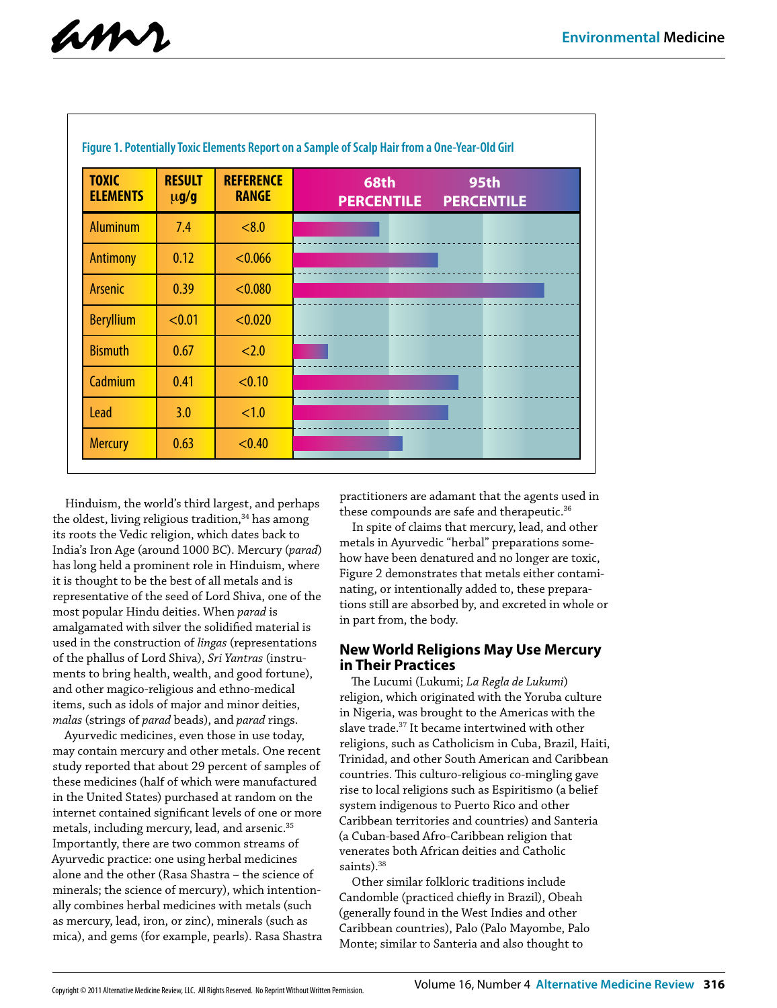

| <b>TOXIC</b><br><b>ELEMENTS</b> | <b>RESULT</b><br>$\mu$ g/g | <b>REFERENCE</b><br><b>RANGE</b> | <b>68th</b><br><b>95th</b><br><b>PERCENTILE</b><br><b>PERCENTILE</b> |
|---------------------------------|----------------------------|----------------------------------|----------------------------------------------------------------------|
| <b>Aluminum</b>                 | 7.4                        | < 8.0                            |                                                                      |
| <b>Antimony</b>                 | 0.12                       | < 0.066                          |                                                                      |
| <b>Arsenic</b>                  | 0.39                       | < 0.080                          |                                                                      |
| <b>Beryllium</b>                | < 0.01                     | < 0.020                          |                                                                      |
| <b>Bismuth</b>                  | 0.67                       | < 2.0                            |                                                                      |
| Cadmium                         | 0.41                       | < 0.10                           |                                                                      |
| <b>Lead</b>                     | 3.0                        | <1.0                             |                                                                      |
| <b>Mercury</b>                  | 0.63                       | < 0.40                           |                                                                      |

Hinduism, the world's third largest, and perhaps the oldest, living religious tradition, $34$  has among its roots the Vedic religion, which dates back to India's Iron Age (around 1000 BC). Mercury (*parad*) has long held a prominent role in Hinduism, where it is thought to be the best of all metals and is representative of the seed of Lord Shiva, one of the most popular Hindu deities. When *parad* is amalgamated with silver the solidified material is used in the construction of *lingas* (representations of the phallus of Lord Shiva), *Sri Yantras* (instruments to bring health, wealth, and good fortune), and other magico-religious and ethno-medical items, such as idols of major and minor deities, *malas* (strings of *parad* beads), and *parad* rings.

Ayurvedic medicines, even those in use today, may contain mercury and other metals. One recent study reported that about 29 percent of samples of these medicines (half of which were manufactured in the United States) purchased at random on the internet contained significant levels of one or more metals, including mercury, lead, and arsenic.35 Importantly, there are two common streams of Ayurvedic practice: one using herbal medicines alone and the other (Rasa Shastra – the science of minerals; the science of mercury), which intentionally combines herbal medicines with metals (such as mercury, lead, iron, or zinc), minerals (such as mica), and gems (for example, pearls). Rasa Shastra

practitioners are adamant that the agents used in these compounds are safe and therapeutic.<sup>36</sup>

In spite of claims that mercury, lead, and other metals in Ayurvedic "herbal" preparations somehow have been denatured and no longer are toxic, Figure 2 demonstrates that metals either contaminating, or intentionally added to, these preparations still are absorbed by, and excreted in whole or in part from, the body.

# **New World Religions May Use Mercury in Their Practices**

The Lucumi (Lukumi; *La Regla de Lukumi*) religion, which originated with the Yoruba culture in Nigeria, was brought to the Americas with the slave trade.37 It became intertwined with other religions, such as Catholicism in Cuba, Brazil, Haiti, Trinidad, and other South American and Caribbean countries. This culturo-religious co-mingling gave rise to local religions such as Espiritismo (a belief system indigenous to Puerto Rico and other Caribbean territories and countries) and Santeria (a Cuban-based Afro-Caribbean religion that venerates both African deities and Catholic saints).<sup>38</sup>

Other similar folkloric traditions include Candomble (practiced chiefly in Brazil), Obeah (generally found in the West Indies and other Caribbean countries), Palo (Palo Mayombe, Palo Monte; similar to Santeria and also thought to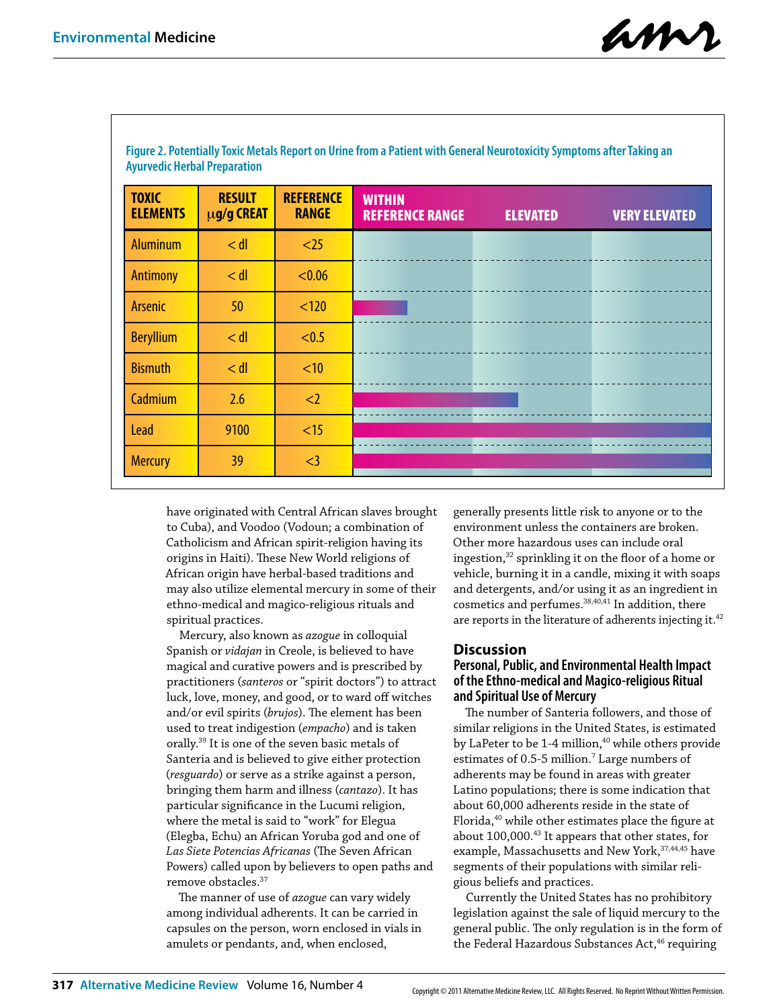amr

| <b>TOXIC</b><br><b>ELEMENTS</b> | <b>RESULT</b><br>$\mu$ g/g CREAT | <b>REFERENCE</b><br><b>RANGE</b> | <b>WITHIN</b><br><b>REFERENCE RANGE</b> | <b>ELEVATED</b> | <b>VERY ELEVATED</b> |
|---------------------------------|----------------------------------|----------------------------------|-----------------------------------------|-----------------|----------------------|
| <b>Aluminum</b>                 | $<$ dl                           | $25$                             |                                         |                 |                      |
| <b>Antimony</b>                 | $<$ dl                           | < 0.06                           |                                         |                 |                      |
| Arsenic                         | 50                               | < 120                            |                                         |                 |                      |
| <b>Beryllium</b>                | $<$ dl                           | < 0.5                            |                                         |                 |                      |
| <b>Bismuth</b>                  | $<$ dl                           | < 10                             |                                         |                 |                      |
| Cadmium                         | 2.6                              | <                                |                                         |                 |                      |
| <b>Lead</b>                     | 9100                             | <15                              |                                         |                 |                      |
| <b>Mercury</b>                  | 39                               | $\leq$ 3                         |                                         |                 |                      |

**Figure 2. Potentially Toxic Metals Report on Urine from a Patient with General Neurotoxicity Symptoms after Taking an Ayurvedic Herbal Preparation**

have originated with Central African slaves brought to Cuba), and Voodoo (Vodoun; a combination of Catholicism and African spirit-religion having its origins in Haiti). These New World religions of African origin have herbal-based traditions and may also utilize elemental mercury in some of their ethno-medical and magico-religious rituals and spiritual practices.

Mercury, also known as *azogue* in colloquial Spanish or *vidajan* in Creole, is believed to have magical and curative powers and is prescribed by practitioners (*santeros* or "spirit doctors") to attract luck, love, money, and good, or to ward off witches and/or evil spirits (*brujos*). The element has been used to treat indigestion (*empacho*) and is taken orally.39 It is one of the seven basic metals of Santeria and is believed to give either protection (*resguardo*) or serve as a strike against a person, bringing them harm and illness (*cantazo*). It has particular significance in the Lucumi religion, where the metal is said to "work" for Elegua (Elegba, Echu) an African Yoruba god and one of *Las Siete Potencias Africanas* (The Seven African Powers) called upon by believers to open paths and remove obstacles.37

The manner of use of *azogue* can vary widely among individual adherents. It can be carried in capsules on the person, worn enclosed in vials in amulets or pendants, and, when enclosed,

generally presents little risk to anyone or to the environment unless the containers are broken. Other more hazardous uses can include oral ingestion,32 sprinkling it on the floor of a home or vehicle, burning it in a candle, mixing it with soaps and detergents, and/or using it as an ingredient in cosmetics and perfumes.<sup>38,40,41</sup> In addition, there are reports in the literature of adherents injecting it.<sup>42</sup>

## **Discussion**

# **Personal, Public, and Environmental Health Impact of the Ethno-medical and Magico-religious Ritual and Spiritual Use of Mercury**

The number of Santeria followers, and those of similar religions in the United States, is estimated by LaPeter to be 1-4 million,<sup>40</sup> while others provide estimates of 0.5-5 million.<sup>7</sup> Large numbers of adherents may be found in areas with greater Latino populations; there is some indication that about 60,000 adherents reside in the state of Florida,<sup>40</sup> while other estimates place the figure at about 100,000.43 It appears that other states, for example, Massachusetts and New York, <sup>37,44,45</sup> have segments of their populations with similar religious beliefs and practices.

Currently the United States has no prohibitory legislation against the sale of liquid mercury to the general public. The only regulation is in the form of the Federal Hazardous Substances Act,<sup>46</sup> requiring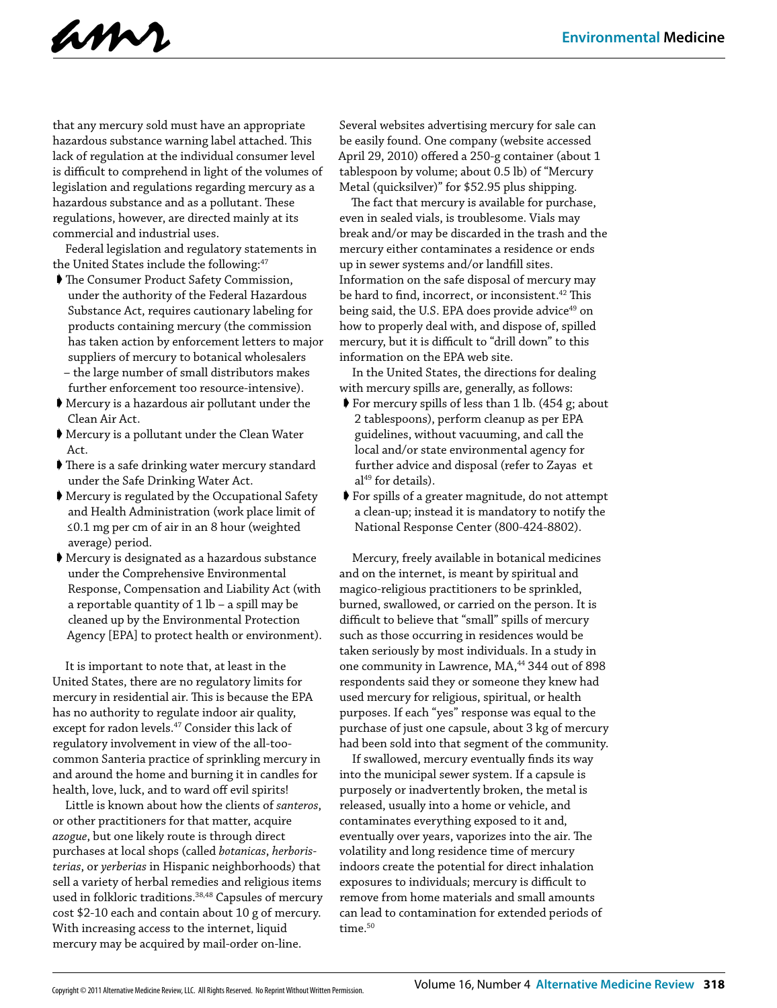

that any mercury sold must have an appropriate hazardous substance warning label attached. This lack of regulation at the individual consumer level is difficult to comprehend in light of the volumes of legislation and regulations regarding mercury as a hazardous substance and as a pollutant. These regulations, however, are directed mainly at its commercial and industrial uses.

Federal legislation and regulatory statements in the United States include the following:<sup>47</sup>

- ➧ The Consumer Product Safety Commission, under the authority of the Federal Hazardous Substance Act, requires cautionary labeling for products containing mercury (the commission has taken action by enforcement letters to major suppliers of mercury to botanical wholesalers – the large number of small distributors makes
- further enforcement too resource-intensive). ➧ Mercury is a hazardous air pollutant under the Clean Air Act.
- ➧ Mercury is a pollutant under the Clean Water Act.
- ➧ There is a safe drinking water mercury standard under the Safe Drinking Water Act.
- ➧ Mercury is regulated by the Occupational Safety and Health Administration (work place limit of ≤0.1 mg per cm of air in an 8 hour (weighted average) period.
- ➧ Mercury is designated as a hazardous substance under the Comprehensive Environmental Response, Compensation and Liability Act (with a reportable quantity of 1 lb – a spill may be cleaned up by the Environmental Protection Agency [EPA] to protect health or environment).

It is important to note that, at least in the United States, there are no regulatory limits for mercury in residential air. This is because the EPA has no authority to regulate indoor air quality, except for radon levels.<sup>47</sup> Consider this lack of regulatory involvement in view of the all-toocommon Santeria practice of sprinkling mercury in and around the home and burning it in candles for health, love, luck, and to ward off evil spirits!

Little is known about how the clients of *santeros*, or other practitioners for that matter, acquire *azogue*, but one likely route is through direct purchases at local shops (called *botanicas*, *herboristerias*, or *yerberias* in Hispanic neighborhoods) that sell a variety of herbal remedies and religious items used in folkloric traditions.38,48 Capsules of mercury cost \$2-10 each and contain about 10 g of mercury. With increasing access to the internet, liquid mercury may be acquired by mail-order on-line.

Several websites advertising mercury for sale can be easily found. One company (website accessed April 29, 2010) offered a 250-g container (about 1 tablespoon by volume; about 0.5 lb) of "Mercury Metal (quicksilver)" for \$52.95 plus shipping.

The fact that mercury is available for purchase, even in sealed vials, is troublesome. Vials may break and/or may be discarded in the trash and the mercury either contaminates a residence or ends up in sewer systems and/or landfill sites. Information on the safe disposal of mercury may be hard to find, incorrect, or inconsistent.<sup>42</sup> This being said, the U.S. EPA does provide advice<sup>49</sup> on how to properly deal with, and dispose of, spilled mercury, but it is difficult to "drill down" to this information on the EPA web site.

In the United States, the directions for dealing with mercury spills are, generally, as follows:

- ➧ For mercury spills of less than 1 lb. (454 g; about 2 tablespoons), perform cleanup as per EPA guidelines, without vacuuming, and call the local and/or state environmental agency for further advice and disposal (refer to Zayas et  $al<sup>49</sup>$  for details).
- ➧ For spills of a greater magnitude, do not attempt a clean-up; instead it is mandatory to notify the National Response Center (800-424-8802).

Mercury, freely available in botanical medicines and on the internet, is meant by spiritual and magico-religious practitioners to be sprinkled, burned, swallowed, or carried on the person. It is difficult to believe that "small" spills of mercury such as those occurring in residences would be taken seriously by most individuals. In a study in one community in Lawrence, MA,<sup>44</sup> 344 out of 898 respondents said they or someone they knew had used mercury for religious, spiritual, or health purposes. If each "yes" response was equal to the purchase of just one capsule, about 3 kg of mercury had been sold into that segment of the community.

If swallowed, mercury eventually finds its way into the municipal sewer system. If a capsule is purposely or inadvertently broken, the metal is released, usually into a home or vehicle, and contaminates everything exposed to it and, eventually over years, vaporizes into the air. The volatility and long residence time of mercury indoors create the potential for direct inhalation exposures to individuals; mercury is difficult to remove from home materials and small amounts can lead to contamination for extended periods of time.<sup>50</sup>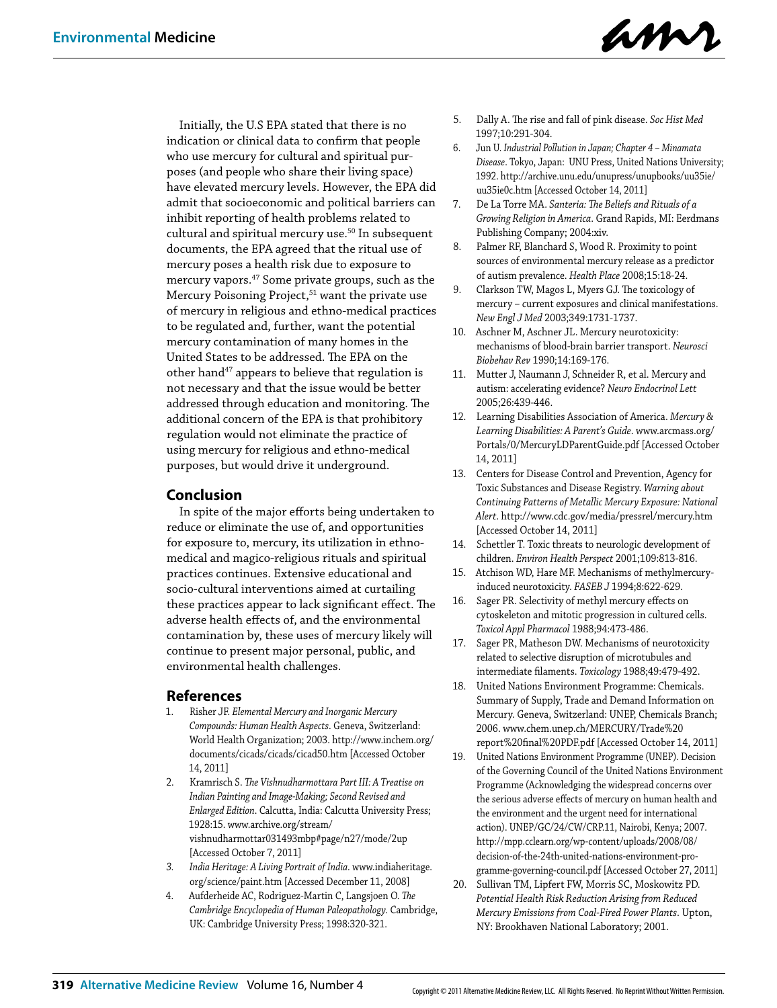

Initially, the U.S EPA stated that there is no indication or clinical data to confirm that people who use mercury for cultural and spiritual purposes (and people who share their living space) have elevated mercury levels. However, the EPA did admit that socioeconomic and political barriers can inhibit reporting of health problems related to cultural and spiritual mercury use.<sup>50</sup> In subsequent documents, the EPA agreed that the ritual use of mercury poses a health risk due to exposure to mercury vapors.47 Some private groups, such as the Mercury Poisoning Project,  $\!51}$  want the private use of mercury in religious and ethno-medical practices to be regulated and, further, want the potential mercury contamination of many homes in the United States to be addressed. The EPA on the other hand<sup>47</sup> appears to believe that regulation is not necessary and that the issue would be better addressed through education and monitoring. The additional concern of the EPA is that prohibitory regulation would not eliminate the practice of using mercury for religious and ethno-medical purposes, but would drive it underground.

# **Conclusion**

In spite of the major efforts being undertaken to reduce or eliminate the use of, and opportunities for exposure to, mercury, its utilization in ethnomedical and magico-religious rituals and spiritual practices continues. Extensive educational and socio-cultural interventions aimed at curtailing these practices appear to lack significant effect. The adverse health effects of, and the environmental contamination by, these uses of mercury likely will continue to present major personal, public, and environmental health challenges.

## **References**

- 1. Risher JF. *Elemental Mercury and Inorganic Mercury Compounds: Human Health Aspects*. Geneva, Switzerland: World Health Organization; 2003. http://www.inchem.org/ documents/cicads/cicads/cicad50.htm [Accessed October 14, 2011]
- 2. Kramrisch S. *The Vishnudharmottara Part III: A Treatise on Indian Painting and Image-Making; Second Revised and Enlarged Edition*. Calcutta, India: Calcutta University Press; 1928:15. www.archive.org/stream/ vishnudharmottar031493mbp#page/n27/mode/2up [Accessed October 7, 2011]
- *3. India Heritage: A Living Portrait of India*. www.indiaheritage. org/science/paint.htm [Accessed December 11, 2008]
- 4. Aufderheide AC, Rodriguez-Martin C, Langsjoen O. *The Cambridge Encyclopedia of Human Paleopathology.* Cambridge, UK: Cambridge University Press; 1998:320-321.
- 5. Dally A. The rise and fall of pink disease. *Soc Hist Med* 1997;10:291-304.
- 6. Jun U. *Industrial Pollution in Japan; Chapter 4 Minamata Disease*. Tokyo, Japan: UNU Press, United Nations University; 1992. http://archive.unu.edu/unupress/unupbooks/uu35ie/ uu35ie0c.htm [Accessed October 14, 2011]
- 7. De La Torre MA. *Santeria: The Beliefs and Rituals of a Growing Religion in America*. Grand Rapids, MI: Eerdmans Publishing Company; 2004:xiv.
- 8. Palmer RF, Blanchard S, Wood R. Proximity to point sources of environmental mercury release as a predictor of autism prevalence. *Health Place* 2008;15:18-24.
- 9. Clarkson TW, Magos L, Myers GJ. The toxicology of mercury – current exposures and clinical manifestations. *New Engl J Med* 2003;349:1731-1737.
- 10. Aschner M, Aschner JL. Mercury neurotoxicity: mechanisms of blood-brain barrier transport. *Neurosci Biobehav Rev* 1990;14:169-176.
- 11. Mutter J, Naumann J, Schneider R, et al. Mercury and autism: accelerating evidence? *Neuro Endocrinol Lett* 2005;26:439-446.
- 12. Learning Disabilities Association of America. *Mercury & Learning Disabilities: A Parent's Guide*. www.arcmass.org/ Portals/0/MercuryLDParentGuide.pdf [Accessed October 14, 2011]
- 13. Centers for Disease Control and Prevention, Agency for Toxic Substances and Disease Registry. *Warning about Continuing Patterns of Metallic Mercury Exposure: National Alert*. http://www.cdc.gov/media/pressrel/mercury.htm [Accessed October 14, 2011]
- 14. Schettler T. Toxic threats to neurologic development of children. *Environ Health Perspect* 2001;109:813-816.
- 15. Atchison WD, Hare MF. Mechanisms of methylmercuryinduced neurotoxicity. *FASEB J* 1994;8:622-629.
- 16. Sager PR. Selectivity of methyl mercury effects on cytoskeleton and mitotic progression in cultured cells. *Toxicol Appl Pharmacol* 1988;94:473-486.
- 17. Sager PR, Matheson DW. Mechanisms of neurotoxicity related to selective disruption of microtubules and intermediate filaments. *Toxicology* 1988;49:479-492.
- 18. United Nations Environment Programme: Chemicals. Summary of Supply, Trade and Demand Information on Mercury. Geneva, Switzerland: UNEP, Chemicals Branch; 2006. www.chem.unep.ch/MERCURY/Trade%20 report%20final%20PDF.pdf [Accessed October 14, 2011]
- 19. United Nations Environment Programme (UNEP). Decision of the Governing Council of the United Nations Environment Programme (Acknowledging the widespread concerns over the serious adverse effects of mercury on human health and the environment and the urgent need for international action). UNEP/GC/24/CW/CRP.11, Nairobi, Kenya; 2007. http://mpp.cclearn.org/wp-content/uploads/2008/08/ decision-of-the-24th-united-nations-environment-programme-governing-council.pdf [Accessed October 27, 2011]
- 20. Sullivan TM, Lipfert FW, Morris SC, Moskowitz PD. *Potential Health Risk Reduction Arising from Reduced Mercury Emissions from Coal-Fired Power Plants*. Upton, NY: Brookhaven National Laboratory; 2001.